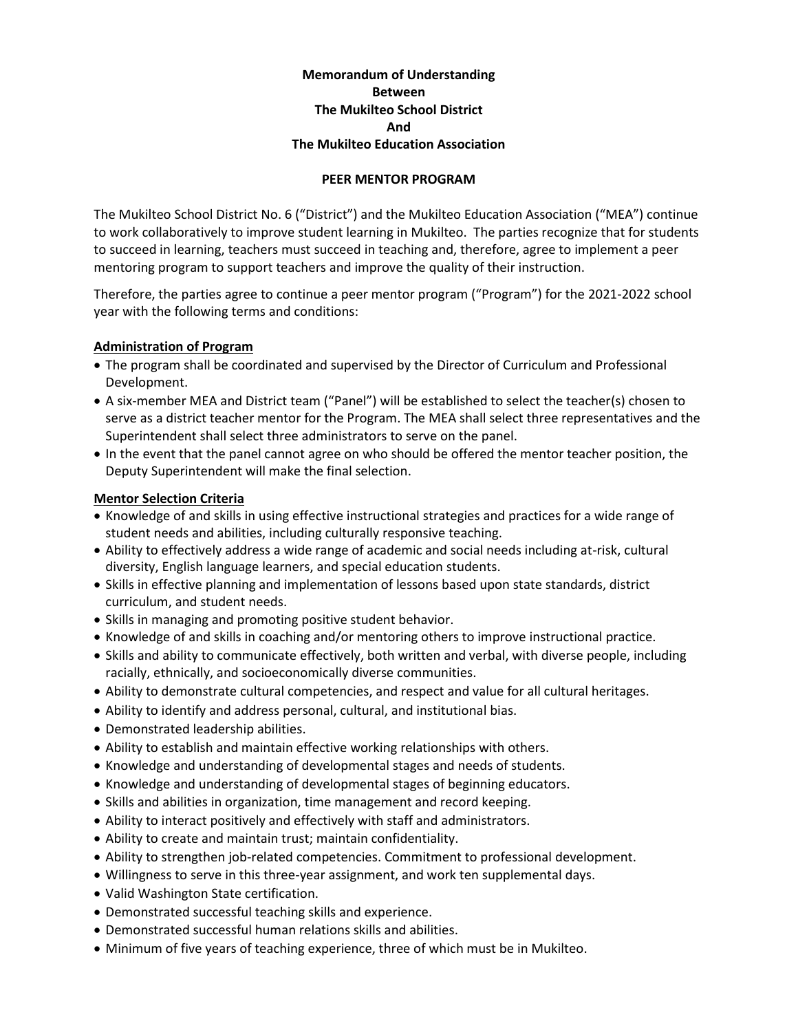# **Memorandum of Understanding Between The Mukilteo School District And The Mukilteo Education Association**

#### **PEER MENTOR PROGRAM**

The Mukilteo School District No. 6 ("District") and the Mukilteo Education Association ("MEA") continue to work collaboratively to improve student learning in Mukilteo. The parties recognize that for students to succeed in learning, teachers must succeed in teaching and, therefore, agree to implement a peer mentoring program to support teachers and improve the quality of their instruction.

Therefore, the parties agree to continue a peer mentor program ("Program") for the 2021-2022 school year with the following terms and conditions:

### **Administration of Program**

- The program shall be coordinated and supervised by the Director of Curriculum and Professional Development.
- A six-member MEA and District team ("Panel") will be established to select the teacher(s) chosen to serve as a district teacher mentor for the Program. The MEA shall select three representatives and the Superintendent shall select three administrators to serve on the panel.
- In the event that the panel cannot agree on who should be offered the mentor teacher position, the Deputy Superintendent will make the final selection.

### **Mentor Selection Criteria**

- Knowledge of and skills in using effective instructional strategies and practices for a wide range of student needs and abilities, including culturally responsive teaching.
- Ability to effectively address a wide range of academic and social needs including at-risk, cultural diversity, English language learners, and special education students.
- Skills in effective planning and implementation of lessons based upon state standards, district curriculum, and student needs.
- Skills in managing and promoting positive student behavior.
- Knowledge of and skills in coaching and/or mentoring others to improve instructional practice.
- Skills and ability to communicate effectively, both written and verbal, with diverse people, including racially, ethnically, and socioeconomically diverse communities.
- Ability to demonstrate cultural competencies, and respect and value for all cultural heritages.
- Ability to identify and address personal, cultural, and institutional bias.
- Demonstrated leadership abilities.
- Ability to establish and maintain effective working relationships with others.
- Knowledge and understanding of developmental stages and needs of students.
- Knowledge and understanding of developmental stages of beginning educators.
- Skills and abilities in organization, time management and record keeping.
- Ability to interact positively and effectively with staff and administrators.
- Ability to create and maintain trust; maintain confidentiality.
- Ability to strengthen job-related competencies. Commitment to professional development.
- Willingness to serve in this three-year assignment, and work ten supplemental days.
- Valid Washington State certification.
- Demonstrated successful teaching skills and experience.
- Demonstrated successful human relations skills and abilities.
- Minimum of five years of teaching experience, three of which must be in Mukilteo.